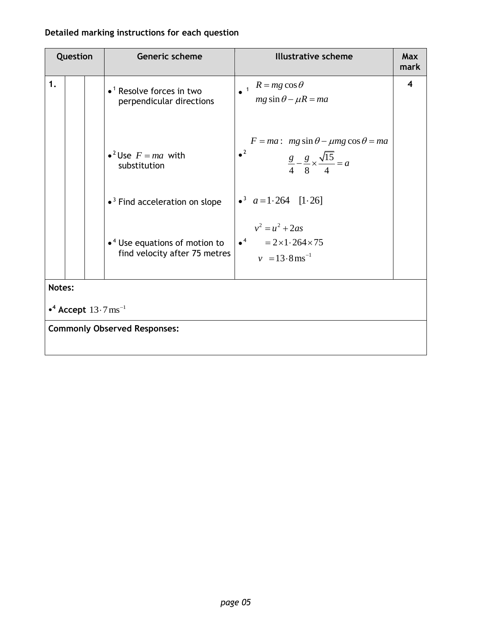## **Detailed marking instructions for each question**

| Question                                           |  |  | Generic scheme                                                                     | <b>Illustrative scheme</b>                                                                                                  | Max<br>mark |  |
|----------------------------------------------------|--|--|------------------------------------------------------------------------------------|-----------------------------------------------------------------------------------------------------------------------------|-------------|--|
| 1.                                                 |  |  | $\bullet$ <sup>1</sup> Resolve forces in two<br>perpendicular directions           | $R = mg \cos \theta$<br>$mg \sin \theta - \mu R = ma$                                                                       | 4           |  |
|                                                    |  |  | • <sup>2</sup> Use $F = ma$ with<br>substitution                                   | $F = ma$ : $mg \sin \theta - \mu mg \cos \theta = ma$<br>$^2$<br>$\frac{g}{4} - \frac{g}{8} \times \frac{\sqrt{15}}{4} = a$ |             |  |
|                                                    |  |  | $\bullet$ <sup>3</sup> Find acceleration on slope                                  | • <sup>3</sup> $a=1.264$ [1.26]                                                                                             |             |  |
|                                                    |  |  | $\bullet$ <sup>4</sup> Use equations of motion to<br>find velocity after 75 metres | $v^2 = u^2 + 2as$<br>$\bullet^4$ = 2×1.264×75<br>$v = 13.8 \text{ ms}^{-1}$                                                 |             |  |
| Notes:                                             |  |  |                                                                                    |                                                                                                                             |             |  |
| • <sup>4</sup> Accept $13 \cdot 7 \text{ ms}^{-1}$ |  |  |                                                                                    |                                                                                                                             |             |  |
|                                                    |  |  | <b>Commonly Observed Responses:</b>                                                |                                                                                                                             |             |  |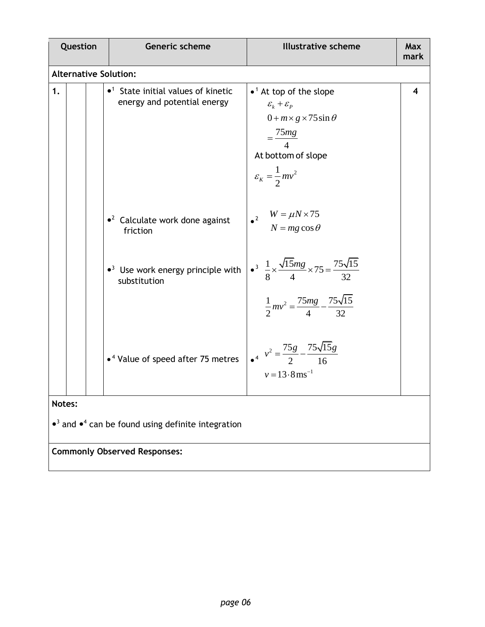| Question |                                                                                                     | Generic scheme                                                                        | <b>Illustrative scheme</b>                                                                                                                                                                                  | Max<br>mark             |  |  |  |  |  |
|----------|-----------------------------------------------------------------------------------------------------|---------------------------------------------------------------------------------------|-------------------------------------------------------------------------------------------------------------------------------------------------------------------------------------------------------------|-------------------------|--|--|--|--|--|
|          | <b>Alternative Solution:</b>                                                                        |                                                                                       |                                                                                                                                                                                                             |                         |  |  |  |  |  |
| 1.       |                                                                                                     | $\bullet$ <sup>1</sup> State initial values of kinetic<br>energy and potential energy | $\bullet$ <sup>1</sup> At top of the slope<br>$\mathcal{E}_k + \mathcal{E}_p$<br>$0 + m \times g \times 75 \sin \theta$<br>$=\frac{75mg}{4}$<br>At bottom of slope<br>$\varepsilon_{K} = \frac{1}{2}mv^{2}$ | $\overline{\mathbf{4}}$ |  |  |  |  |  |
|          |                                                                                                     | $\bullet^2$ Calculate work done against<br>friction                                   | $\epsilon^2$ $W = \mu N \times 75$<br>$N = mg \cos \theta$                                                                                                                                                  |                         |  |  |  |  |  |
|          |                                                                                                     | $\bullet$ <sup>3</sup> Use work energy principle with<br>substitution                 | $\frac{3}{8} \times \frac{\sqrt{15}mg}{4} \times 75 = \frac{75\sqrt{15}}{32}$<br>$\frac{1}{2}mv^2 = \frac{75mg}{4} - \frac{75\sqrt{15}}{32}$                                                                |                         |  |  |  |  |  |
|          |                                                                                                     | • <sup>4</sup> Value of speed after 75 metres                                         | $v^2 = \frac{75g}{2} - \frac{75\sqrt{15}g}{16}$<br>$v = 13.8$ ms <sup>-1</sup>                                                                                                                              |                         |  |  |  |  |  |
|          | Notes:<br>$\bullet$ <sup>3</sup> and $\bullet$ <sup>4</sup> can be found using definite integration |                                                                                       |                                                                                                                                                                                                             |                         |  |  |  |  |  |
|          |                                                                                                     | <b>Commonly Observed Responses:</b>                                                   |                                                                                                                                                                                                             |                         |  |  |  |  |  |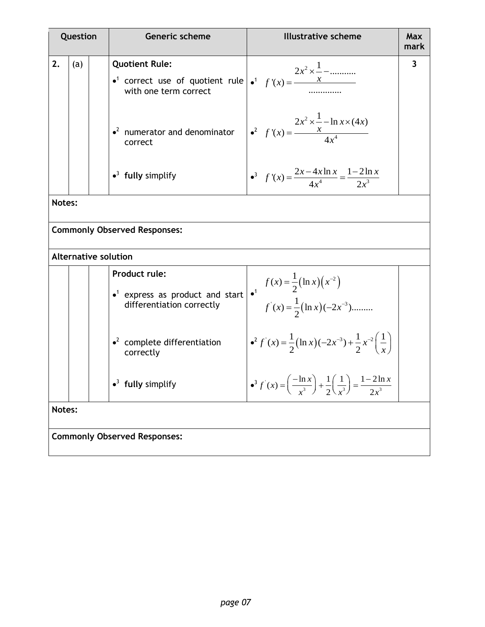| Question |     | <b>Generic scheme</b>                                                                                                                            | <b>Illustrative scheme</b>                                                                                          | Max<br>mark |
|----------|-----|--------------------------------------------------------------------------------------------------------------------------------------------------|---------------------------------------------------------------------------------------------------------------------|-------------|
| 2.       | (a) | <b>Quotient Rule:</b><br>• <sup>1</sup> correct use of quotient rule $\int$ • <sup>1</sup> $f'(x) = \frac{x}{\sqrt{x}}$<br>with one term correct | $2x^2 \times \frac{1}{1}$ –                                                                                         | 3           |
|          |     | $\bullet^2$ numerator and denominator<br>correct                                                                                                 | $2x^2 \times -\ln x \times (4x)$<br>$\bullet^2$ $f'(x) = \frac{x}{4x^4}$                                            |             |
|          |     | $\bullet^3$ fully simplify                                                                                                                       | $\bullet^3 \quad f'(x) = \frac{2x - 4x \ln x}{4x^4} = \frac{1 - 2 \ln x}{2x^3}$                                     |             |
| Notes:   |     |                                                                                                                                                  |                                                                                                                     |             |
|          |     | <b>Commonly Observed Responses:</b>                                                                                                              |                                                                                                                     |             |
|          |     | <b>Alternative solution</b>                                                                                                                      |                                                                                                                     |             |
|          |     | <b>Product rule:</b><br>$\bullet$ <sup>1</sup> express as product and start<br>differentiation correctly                                         | $f(x) = \frac{1}{2} (\ln x) (x^{-2})$<br>$f'(x) = \frac{1}{2} (\ln x) (-2x^{-3})$                                   |             |
|          |     | $\cdot^2$ complete differentiation<br>correctly                                                                                                  | $\bullet^2 f'(x) = \frac{1}{2} (\ln x) (-2x^{-3}) + \frac{1}{2} x^{-2} \left( \frac{1}{x} \right)$                  |             |
|          |     | $\bullet^3$ fully simplify                                                                                                                       | $\bullet^3 f'(x) = \left(\frac{-\ln x}{x^3}\right) + \frac{1}{2}\left(\frac{1}{x^3}\right) = \frac{1-2\ln x}{2x^3}$ |             |
| Notes:   |     |                                                                                                                                                  |                                                                                                                     |             |
|          |     | <b>Commonly Observed Responses:</b>                                                                                                              |                                                                                                                     |             |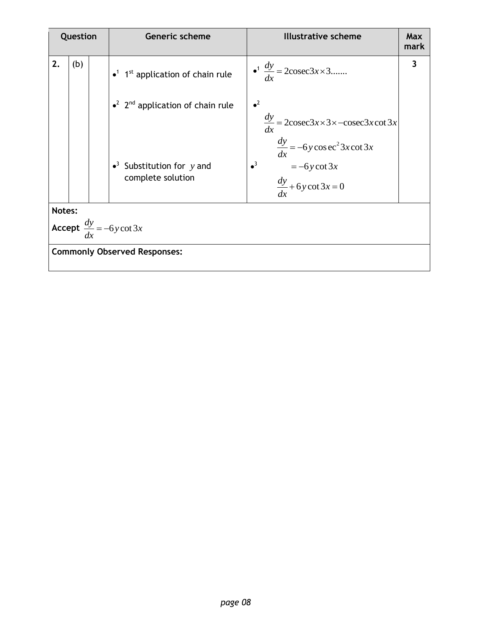|                                             | Question |  | <b>Generic scheme</b>                                            | <b>Illustrative scheme</b>                                                                                                      | <b>Max</b><br>mark |  |  |  |
|---------------------------------------------|----------|--|------------------------------------------------------------------|---------------------------------------------------------------------------------------------------------------------------------|--------------------|--|--|--|
| 2.                                          | (b)      |  | $\bullet$ <sup>1</sup> 1 <sup>st</sup> application of chain rule | $\bullet^1 \frac{dy}{dx} = 2\csc 3x \times 3$                                                                                   | 3                  |  |  |  |
|                                             |          |  | $\bullet^2$ 2 <sup>nd</sup> application of chain rule            | $\bullet^2$<br>$\frac{dy}{dx} = 2\csc 3x \times 3 \times -\csc 3x \cot 3x$<br>dx<br>$\frac{dy}{dx} = -6y\cos\omega^2 3x\cot 3x$ |                    |  |  |  |
|                                             |          |  | • <sup>3</sup> Substitution for $y$ and<br>complete solution     | $\bullet^3$<br>$=-6y \cot 3x$<br>$\frac{dy}{dx} + 6y \cot 3x = 0$                                                               |                    |  |  |  |
| Notes:                                      |          |  |                                                                  |                                                                                                                                 |                    |  |  |  |
| <b>Accept</b> $\frac{dy}{dx} = -6y \cot 3x$ |          |  |                                                                  |                                                                                                                                 |                    |  |  |  |
| <b>Commonly Observed Responses:</b>         |          |  |                                                                  |                                                                                                                                 |                    |  |  |  |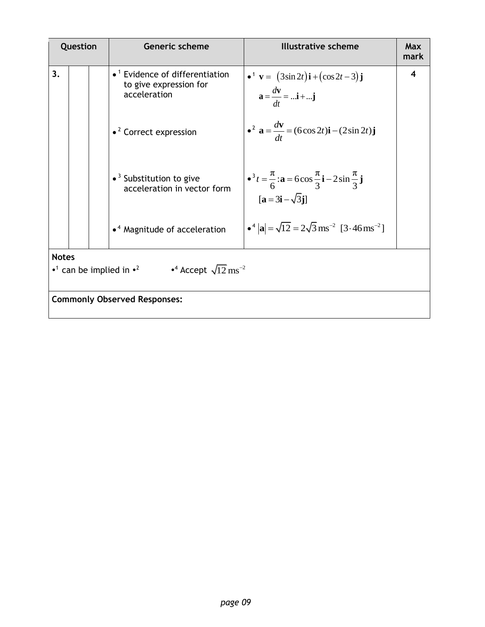| Question     |                                                                                                   |  | <b>Generic scheme</b>                                                                        | <b>Illustrative scheme</b>                                                                                                                                       | Max<br>mark |  |  |  |
|--------------|---------------------------------------------------------------------------------------------------|--|----------------------------------------------------------------------------------------------|------------------------------------------------------------------------------------------------------------------------------------------------------------------|-------------|--|--|--|
| 3.           |                                                                                                   |  | $\bullet$ <sup>1</sup> Evidence of differentiation<br>to give expression for<br>acceleration | • <sup>1</sup> <b>v</b> = $(3\sin 2t)\mathbf{i} + (\cos 2t - 3)\mathbf{j}$<br>$a = \frac{dv}{dt} =  \mathbf{i} +  \mathbf{j}$                                    | 4           |  |  |  |
|              |                                                                                                   |  | $\bullet$ <sup>2</sup> Correct expression                                                    | • <sup>2</sup> <b>a</b> = $\frac{dv}{dt}$ = (6cos 2 <i>t</i> ) <b>i</b> – (2sin 2 <i>t</i> ) <b>j</b>                                                            |             |  |  |  |
|              |                                                                                                   |  | $\bullet$ <sup>3</sup> Substitution to give<br>acceleration in vector form                   | • <sup>3</sup> $t = \frac{\pi}{6}$ : <b>a</b> = 6cos $\frac{\pi}{3}$ <b>i</b> - 2sin $\frac{\pi}{3}$ <b>j</b><br>$\mathbf{a} = 3\mathbf{i} - \sqrt{3}\mathbf{j}$ |             |  |  |  |
|              |                                                                                                   |  | $\bullet$ <sup>4</sup> Magnitude of acceleration                                             | • $^4$  a  = $\sqrt{12}$ = $2\sqrt{3}$ ms <sup>-2</sup> [3.46 ms <sup>-2</sup> ]                                                                                 |             |  |  |  |
| <b>Notes</b> |                                                                                                   |  |                                                                                              |                                                                                                                                                                  |             |  |  |  |
|              | • <sup>1</sup> can be implied in • <sup>2</sup> • <sup>4</sup> Accept $\sqrt{12} \text{ ms}^{-2}$ |  |                                                                                              |                                                                                                                                                                  |             |  |  |  |
|              | <b>Commonly Observed Responses:</b>                                                               |  |                                                                                              |                                                                                                                                                                  |             |  |  |  |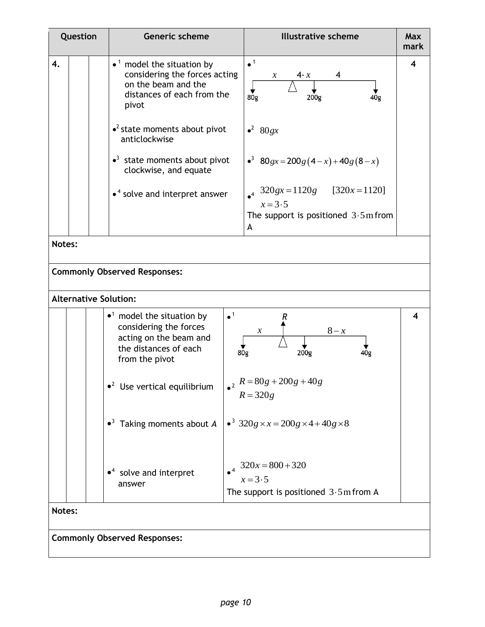| Question | Generic scheme                                                                                                                                                         | <b>Illustrative scheme</b>                                                       | <b>Max</b><br>mark |
|----------|------------------------------------------------------------------------------------------------------------------------------------------------------------------------|----------------------------------------------------------------------------------|--------------------|
| 4.       | $\bullet$ <sup>1</sup> model the situation by<br>considering the forces acting<br>on the beam and the<br>distances of each from the<br>pivot                           | $\bullet$ <sup>1</sup><br>$4 - x$<br>$\mathcal{X}$<br>4Òg<br>80g<br>200g         | 4                  |
|          | $\cdot^2$ state moments about pivot<br>anticlockwise                                                                                                                   | $\bullet^2$ 80gx                                                                 |                    |
|          | $\bullet$ <sup>3</sup> state moments about pivot<br>clockwise, and equate                                                                                              | • <sup>3</sup> 80gx = 200g(4-x)+40g(8-x)                                         |                    |
|          | $\bullet$ <sup>4</sup> solve and interpret answer                                                                                                                      | $320gx = 1120g$ [320x = 1120]<br>$\bullet^4$<br>$x=3.5$                          |                    |
|          |                                                                                                                                                                        | The support is positioned $3.5 \text{m}$ from<br>A                               |                    |
| Notes:   |                                                                                                                                                                        |                                                                                  |                    |
|          | <b>Commonly Observed Responses:</b>                                                                                                                                    |                                                                                  |                    |
|          | <b>Alternative Solution:</b>                                                                                                                                           |                                                                                  |                    |
|          | $\bullet$ <sup>1</sup><br>$\bullet$ <sup>1</sup> model the situation by<br>considering the forces<br>acting on the beam and<br>the distances of each<br>from the pivot | R<br>$8 - x$<br>$\mathcal{X}$<br>80 <sub>g</sub><br>200g<br>40g                  | 4                  |
|          | $^2$<br>$\bullet^2$ Use vertical equilibrium                                                                                                                           | $R = 80g + 200g + 40g$<br>$R = 320g$                                             |                    |
|          | $\bullet^3$ Taking moments about A                                                                                                                                     | • <sup>3</sup> 320g × x = 200g × 4 + 40g × 8                                     |                    |
|          | $\bullet$ <sup>4</sup> solve and interpret<br>answer                                                                                                                   | $320x = 800 + 320$<br>$x=3.5$<br>The support is positioned $3.5 \text{m}$ from A |                    |
| Notes:   |                                                                                                                                                                        |                                                                                  |                    |
|          | <b>Commonly Observed Responses:</b>                                                                                                                                    |                                                                                  |                    |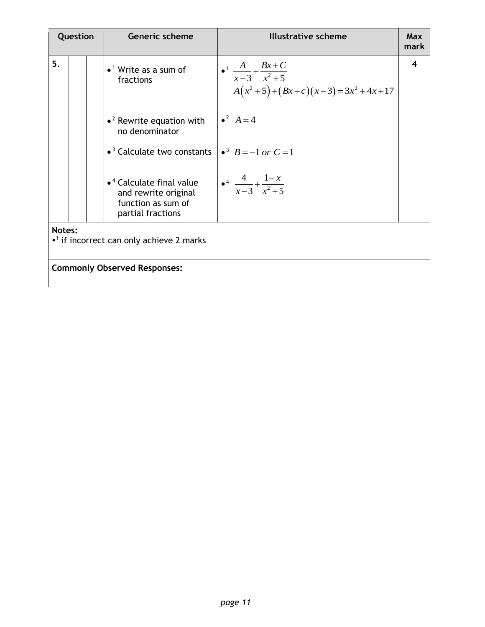| Question |                                                                      |  | <b>Generic scheme</b>                                                                                           | <b>Illustrative scheme</b>                                                                       | Max<br>mark |  |  |  |
|----------|----------------------------------------------------------------------|--|-----------------------------------------------------------------------------------------------------------------|--------------------------------------------------------------------------------------------------|-------------|--|--|--|
| 5.       |                                                                      |  | $\bullet$ <sup>1</sup> Write as a sum of<br>fractions                                                           | $\bullet$ <sup>1</sup> $\frac{A}{x-3} + \frac{Bx+C}{x^2+5}$<br>$A(x^2+5)+(Bx+c)(x-3)=3x^2+4x+17$ | 4           |  |  |  |
|          |                                                                      |  | $\bullet$ <sup>2</sup> Rewrite equation with<br>no denominator                                                  | • <sup>2</sup> $A = 4$                                                                           |             |  |  |  |
|          |                                                                      |  | $\bullet$ <sup>3</sup> Calculate two constants                                                                  | • <sup>3</sup> $B = -1$ or $C = 1$                                                               |             |  |  |  |
|          |                                                                      |  | $\bullet$ <sup>4</sup> Calculate final value<br>and rewrite original<br>function as sum of<br>partial fractions | $\bullet^4$ $\frac{4}{x-3} + \frac{1-x}{x^2+5}$                                                  |             |  |  |  |
|          | Notes:<br>$\cdot$ <sup>1</sup> if incorrect can only achieve 2 marks |  |                                                                                                                 |                                                                                                  |             |  |  |  |
|          | <b>Commonly Observed Responses:</b>                                  |  |                                                                                                                 |                                                                                                  |             |  |  |  |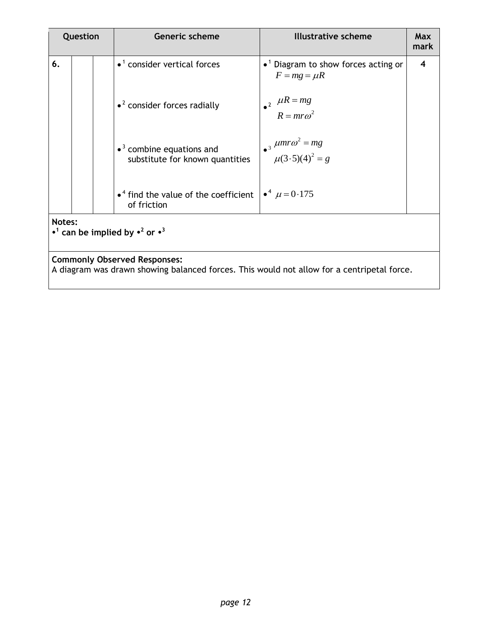| Question |                                                                                                                                   |  | <b>Generic scheme</b>                                                           | <b>Illustrative scheme</b>                                                  | <b>Max</b><br>mark |  |  |  |
|----------|-----------------------------------------------------------------------------------------------------------------------------------|--|---------------------------------------------------------------------------------|-----------------------------------------------------------------------------|--------------------|--|--|--|
| 6.       |                                                                                                                                   |  | $\bullet$ <sup>1</sup> consider vertical forces                                 | $\bullet$ <sup>1</sup> Diagram to show forces acting or<br>$F = mg = \mu R$ | 4                  |  |  |  |
|          |                                                                                                                                   |  | $\bullet$ <sup>2</sup> consider forces radially                                 | $\mu R = mg$<br>$R = m r \omega^2$                                          |                    |  |  |  |
|          |                                                                                                                                   |  | $\bullet$ <sup>3</sup> combine equations and<br>substitute for known quantities | • $\frac{\mu m r \omega^2 = mg}{\mu (3.5)(4)^2 = g}$                        |                    |  |  |  |
|          |                                                                                                                                   |  | $\bullet$ <sup>4</sup> find the value of the coefficient<br>of friction         | $\bullet^4$ $\mu = 0.175$                                                   |                    |  |  |  |
|          | Notes:<br>• <sup>1</sup> can be implied by • <sup>2</sup> or • <sup>3</sup>                                                       |  |                                                                                 |                                                                             |                    |  |  |  |
|          | <b>Commonly Observed Responses:</b><br>A diagram was drawn showing balanced forces. This would not allow for a centripetal force. |  |                                                                                 |                                                                             |                    |  |  |  |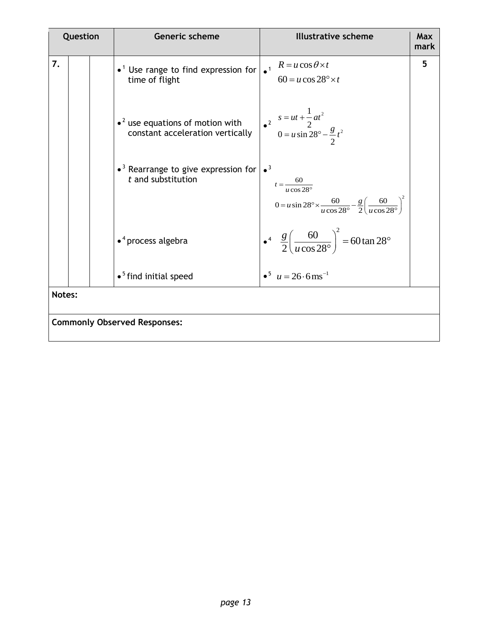| Question |  | Generic scheme                                                                                              | <b>Illustrative scheme</b>                                                                                                                                           | <b>Max</b><br>mark |
|----------|--|-------------------------------------------------------------------------------------------------------------|----------------------------------------------------------------------------------------------------------------------------------------------------------------------|--------------------|
| 7.       |  | • <sup>1</sup> Use range to find expression for $\int_{0}^{1} R = u \cos \theta \times t$<br>time of flight | $60 = u \cos 28^\circ \times t$                                                                                                                                      | 5                  |
|          |  | $\bullet$ <sup>2</sup> use equations of motion with<br>constant acceleration vertically                     | $\begin{array}{r} s = ut + \frac{1}{2}at^2 \\ 0 = u \sin 28^\circ - \frac{g}{2}t^2 \end{array}$                                                                      |                    |
|          |  | $\bullet$ <sup>3</sup> Rearrange to give expression for<br>$t$ and substitution                             | $\bullet^3$<br>$t = \frac{60}{u \cos 28^\circ}$<br>$0 = u \sin 28^\circ \times \frac{60}{u \cos 28^\circ} - \frac{g}{2} \left( \frac{60}{u \cos 28^\circ} \right)^2$ |                    |
|          |  | $\bullet$ <sup>4</sup> process algebra                                                                      | $\frac{g}{2} \left( \frac{60}{u \cos 28^\circ} \right)^2 = 60 \tan 28^\circ$                                                                                         |                    |
|          |  | $\bullet$ <sup>5</sup> find initial speed                                                                   | $\bullet^5$ $u = 26.6$ ms <sup>-1</sup>                                                                                                                              |                    |
| Notes:   |  |                                                                                                             |                                                                                                                                                                      |                    |
|          |  | <b>Commonly Observed Responses:</b>                                                                         |                                                                                                                                                                      |                    |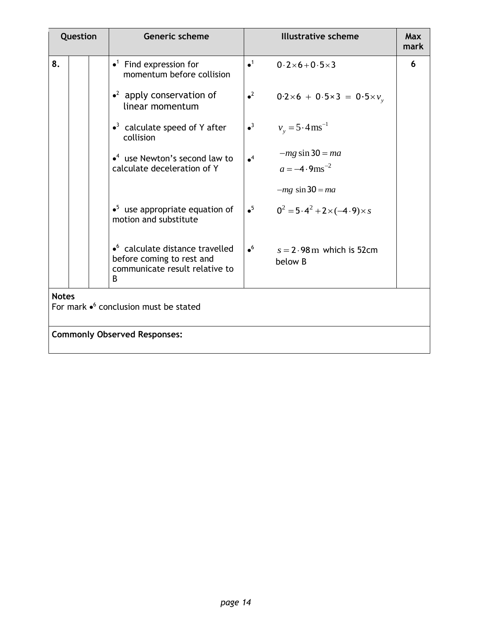| Question     |  | <b>Generic scheme</b>                                                                                      |             | <b>Illustrative scheme</b>                       | Max<br>mark |
|--------------|--|------------------------------------------------------------------------------------------------------------|-------------|--------------------------------------------------|-------------|
| 8.           |  | $\bullet$ <sup>1</sup> Find expression for<br>momentum before collision                                    | $\bullet^1$ | $0.2 \times 6 + 0.5 \times 3$                    | 6           |
|              |  | $\cdot^2$ apply conservation of<br>linear momentum                                                         | $^2$        | $0.2 \times 6 + 0.5 \times 3 = 0.5 \times v_{v}$ |             |
|              |  | $\bullet$ <sup>3</sup> calculate speed of Y after<br>collision                                             | $\bullet^3$ | $v_v = 5.4 \text{ ms}^{-1}$                      |             |
|              |  | $\bullet$ <sup>4</sup> use Newton's second law to                                                          | $\bullet^4$ | $-mg \sin 30 = ma$                               |             |
|              |  | calculate deceleration of Y                                                                                |             | $a = -4.9$ ms <sup>-2</sup>                      |             |
|              |  |                                                                                                            |             | $-mg \sin 30 = ma$                               |             |
|              |  | $\bullet^5$ use appropriate equation of<br>motion and substitute                                           | $\bullet^5$ | $0^2 = 5.4^2 + 2 \times (-4.9) \times s$         |             |
|              |  | $\bullet$ calculate distance travelled<br>before coming to rest and<br>communicate result relative to<br>B | $\bullet^6$ | $s = 2.98$ m which is 52cm<br>below B            |             |
| <b>Notes</b> |  |                                                                                                            |             |                                                  |             |
|              |  | For mark $\bullet^6$ conclusion must be stated                                                             |             |                                                  |             |
|              |  |                                                                                                            |             |                                                  |             |
|              |  | <b>Commonly Observed Responses:</b>                                                                        |             |                                                  |             |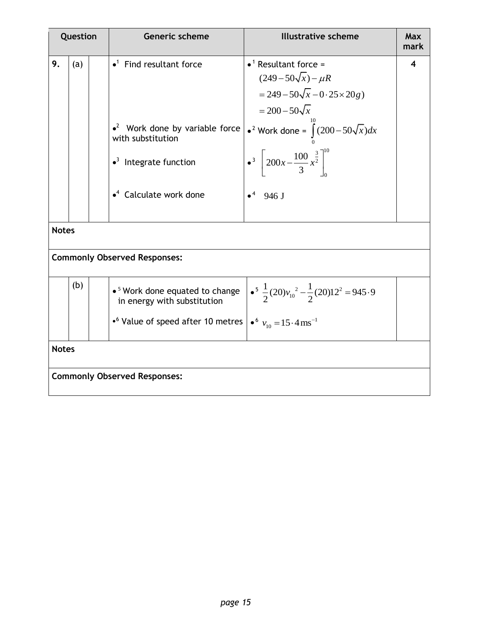|              | Question |  | <b>Generic scheme</b>                                                                                                                                                                                  | <b>Illustrative scheme</b>                                                                                                                                                                                                                                                                   | Max<br>mark |  |  |  |  |  |
|--------------|----------|--|--------------------------------------------------------------------------------------------------------------------------------------------------------------------------------------------------------|----------------------------------------------------------------------------------------------------------------------------------------------------------------------------------------------------------------------------------------------------------------------------------------------|-------------|--|--|--|--|--|
| 9.           | (a)      |  | $\bullet$ <sup>1</sup> Find resultant force<br>$\bullet^2$ Work done by variable force<br>with substitution<br>$\bullet$ <sup>3</sup> Integrate function<br>$\bullet$ <sup>4</sup> Calculate work done | $\bullet$ <sup>1</sup> Resultant force =<br>$(249-50\sqrt{x}) - \mu R$<br>$= 249 - 50\sqrt{x} - 0.25 \times 20g$<br>$=200-50\sqrt{x}$<br>• <sup>2</sup> Work done = $\int_{0}^{10} (200 - 50\sqrt{x}) dx$<br>$\bullet^3$ $\left[200x-\frac{100}{3}x^{\frac{3}{2}}\right]^{10}$<br>$•4$ 946 J | 4           |  |  |  |  |  |
| <b>Notes</b> |          |  |                                                                                                                                                                                                        |                                                                                                                                                                                                                                                                                              |             |  |  |  |  |  |
|              |          |  | <b>Commonly Observed Responses:</b>                                                                                                                                                                    |                                                                                                                                                                                                                                                                                              |             |  |  |  |  |  |
|              | (b)      |  | • 5 Work done equated to change<br>in energy with substitution<br>• <sup>6</sup> Value of speed after 10 metres $\int e^{6} v_{10} = 15.4 \text{ ms}^{-1}$                                             | $\frac{1}{2}(20)v_{10}^2 - \frac{1}{2}(20)12^2 = 945.9$                                                                                                                                                                                                                                      |             |  |  |  |  |  |
| <b>Notes</b> |          |  |                                                                                                                                                                                                        |                                                                                                                                                                                                                                                                                              |             |  |  |  |  |  |
|              |          |  | <b>Commonly Observed Responses:</b>                                                                                                                                                                    |                                                                                                                                                                                                                                                                                              |             |  |  |  |  |  |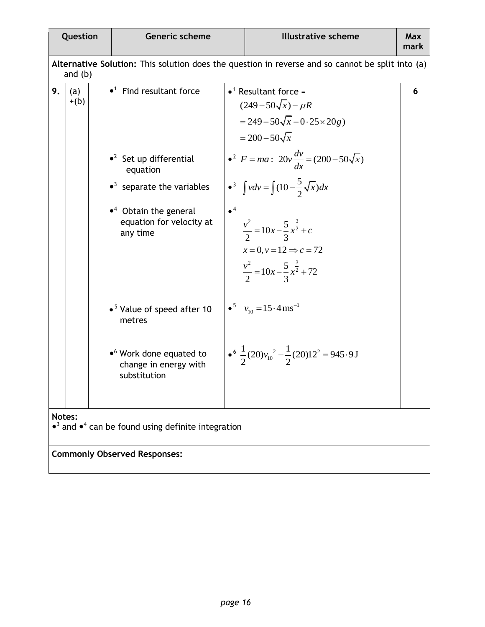|                                                                                                               | Question                                                                                            |  | <b>Generic scheme</b>                                                             |                        | <b>Illustrative scheme</b>                                                                                                                     | Max<br>mark |  |  |
|---------------------------------------------------------------------------------------------------------------|-----------------------------------------------------------------------------------------------------|--|-----------------------------------------------------------------------------------|------------------------|------------------------------------------------------------------------------------------------------------------------------------------------|-------------|--|--|
| Alternative Solution: This solution does the question in reverse and so cannot be split into (a)<br>and $(b)$ |                                                                                                     |  |                                                                                   |                        |                                                                                                                                                |             |  |  |
| 9.                                                                                                            | (a)<br>$+(b)$                                                                                       |  | $\bullet$ <sup>1</sup> Find resultant force                                       |                        | $\bullet$ <sup>1</sup> Resultant force =<br>$(249-50\sqrt{x}) - \mu R$<br>$= 249 - 50\sqrt{x} - 0.25 \times 20g$<br>$= 200 - 50\sqrt{x}$       | 6           |  |  |
|                                                                                                               |                                                                                                     |  | $\bullet^2$ Set up differential<br>equation                                       |                        | • <sup>2</sup> $F = ma$ : $20v \frac{dv}{dx} = (200 - 50\sqrt{x})$                                                                             |             |  |  |
|                                                                                                               |                                                                                                     |  | $\bullet$ <sup>3</sup> separate the variables                                     |                        | • <sup>3</sup> $\int v dv = \int (10 - \frac{5}{2} \sqrt{x}) dx$                                                                               |             |  |  |
|                                                                                                               |                                                                                                     |  | $\bullet$ <sup>4</sup> Obtain the general<br>equation for velocity at<br>any time | $\bullet$ <sup>4</sup> | $\frac{v^2}{2} = 10x - \frac{5}{3}x^{\frac{3}{2}} + c$<br>$x=0, y=12 \implies c=72$<br>$\frac{v^2}{2} = 10x - \frac{5}{3}x^{\frac{3}{2}} + 72$ |             |  |  |
|                                                                                                               |                                                                                                     |  | • <sup>5</sup> Value of speed after 10<br>metres                                  |                        | • $v_{10} = 15.4 \text{ ms}^{-1}$                                                                                                              |             |  |  |
|                                                                                                               |                                                                                                     |  | • <sup>6</sup> Work done equated to<br>change in energy with<br>substitution      |                        | $\bullet^6 \frac{1}{2}(20)v_{10}^2 - \frac{1}{2}(20)12^2 = 945.9 \text{ J}$                                                                    |             |  |  |
|                                                                                                               | Notes:<br>$\bullet$ <sup>3</sup> and $\bullet$ <sup>4</sup> can be found using definite integration |  |                                                                                   |                        |                                                                                                                                                |             |  |  |
|                                                                                                               |                                                                                                     |  | <b>Commonly Observed Responses:</b>                                               |                        |                                                                                                                                                |             |  |  |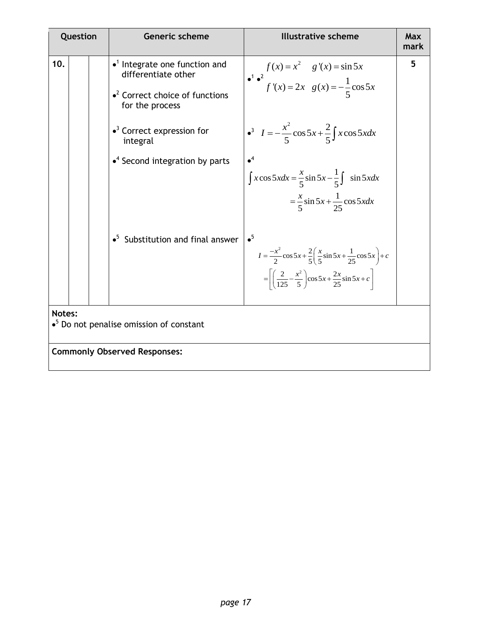| Question |                                                                       |  | <b>Generic scheme</b>                                                                                                                | <b>Illustrative scheme</b>                                                                                                                                                                                        | Max<br>mark |  |  |
|----------|-----------------------------------------------------------------------|--|--------------------------------------------------------------------------------------------------------------------------------------|-------------------------------------------------------------------------------------------------------------------------------------------------------------------------------------------------------------------|-------------|--|--|
| 10.      |                                                                       |  | $\bullet$ <sup>1</sup> Integrate one function and<br>differentiate other<br>$\cdot^2$ Correct choice of functions<br>for the process | $f(x) = x^2$ $g'(x) = \sin 5x$<br>$f'(x) = 2x$ $g(x) = -\frac{1}{5}\cos 5x$                                                                                                                                       | 5           |  |  |
|          |                                                                       |  | $\bullet$ <sup>3</sup> Correct expression for<br>integral                                                                            | $I = -\frac{x^2}{5} \cos 5x + \frac{2}{5} \int x \cos 5x dx$                                                                                                                                                      |             |  |  |
|          |                                                                       |  | $\bullet$ <sup>4</sup> Second integration by parts                                                                                   | $\int x \cos 5x dx = \frac{x}{5} \sin 5x - \frac{1}{5} \int \sin 5x dx$<br>$=\frac{x}{5}\sin 5x + \frac{1}{25}\cos 5xdx$                                                                                          |             |  |  |
|          |                                                                       |  | $\bullet^5$ Substitution and final answer                                                                                            | $\bullet^5$<br>$I = \frac{-x^2}{2} \cos 5x + \frac{2}{5} \left( \frac{x}{5} \sin 5x + \frac{1}{25} \cos 5x \right) + c$<br>$=\left[\left(\frac{2}{125}-\frac{x^2}{5}\right)\cos 5x+\frac{2x}{25}\sin 5x+c\right]$ |             |  |  |
|          | Notes:<br>$\bullet$ <sup>5</sup> Do not penalise omission of constant |  |                                                                                                                                      |                                                                                                                                                                                                                   |             |  |  |
|          | <b>Commonly Observed Responses:</b>                                   |  |                                                                                                                                      |                                                                                                                                                                                                                   |             |  |  |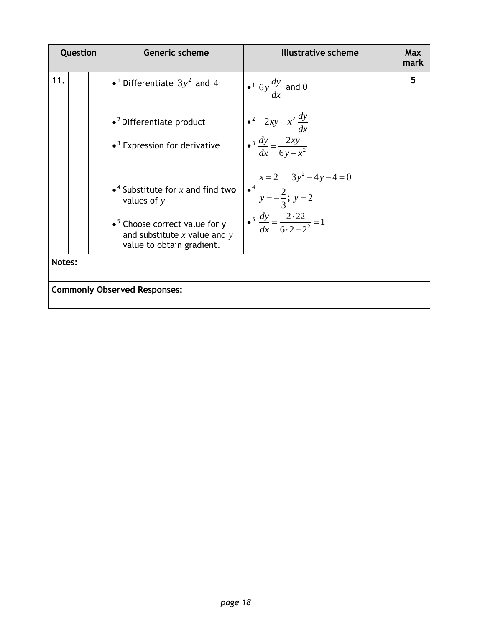|        | Question                            |  | <b>Generic scheme</b>                                                                                              | <b>Illustrative scheme</b>                                                    | Max<br>mark |  |  |
|--------|-------------------------------------|--|--------------------------------------------------------------------------------------------------------------------|-------------------------------------------------------------------------------|-------------|--|--|
| 11.    |                                     |  | • <sup>1</sup> Differentiate $3y^2$ and 4                                                                          | • $\frac{dy}{dx}$ and 0                                                       | 5           |  |  |
|        |                                     |  | $\bullet$ <sup>2</sup> Differentiate product                                                                       | $\bullet^2 -2xy - x^2 \frac{dy}{dx}$                                          |             |  |  |
|        |                                     |  | $\bullet$ <sup>3</sup> Expression for derivative                                                                   | $\bullet^3 \frac{dy}{dx} = \frac{2xy}{6y - x^2}$                              |             |  |  |
|        |                                     |  | • <sup>4</sup> Substitute for x and find two<br>values of $y$                                                      | $x=2$ $3y^2-4y-4=0$<br>$\bullet^4$ $y=-\frac{2}{3}$ ; $y=2$                   |             |  |  |
|        |                                     |  | $\bullet$ <sup>5</sup> Choose correct value for y<br>and substitute $x$ value and $y$<br>value to obtain gradient. | $\cdot$ <sup>5</sup> $\frac{dy}{dx} = \frac{2 \cdot 22}{6 \cdot 2 - 2^2} = 1$ |             |  |  |
| Notes: |                                     |  |                                                                                                                    |                                                                               |             |  |  |
|        | <b>Commonly Observed Responses:</b> |  |                                                                                                                    |                                                                               |             |  |  |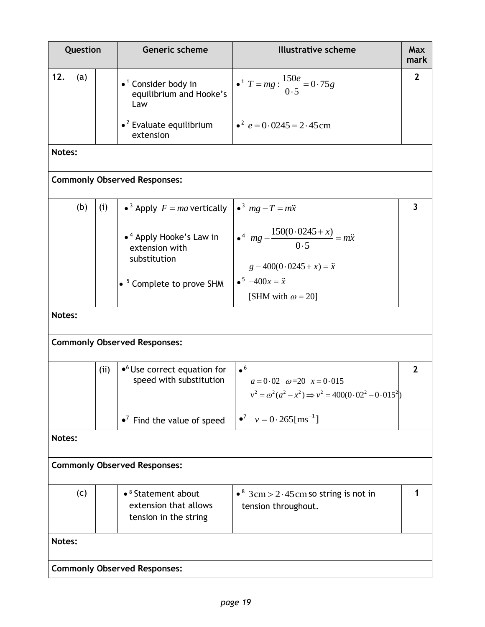|        | Question |      | Generic scheme                                                                   | <b>Illustrative scheme</b>                                                                                                            | Max<br>mark             |
|--------|----------|------|----------------------------------------------------------------------------------|---------------------------------------------------------------------------------------------------------------------------------------|-------------------------|
| 12.    | (a)      |      | $\bullet$ <sup>1</sup> Consider body in<br>equilibrium and Hooke's<br>Law        | • <sup>1</sup> $T = mg : \frac{150e}{0.5} = 0.75g$                                                                                    | $\mathbf{2}$            |
|        |          |      | $\bullet$ <sup>2</sup> Evaluate equilibrium<br>extension                         | • $e^2$ $e = 0.0245 = 2.45$ cm                                                                                                        |                         |
| Notes: |          |      |                                                                                  |                                                                                                                                       |                         |
|        |          |      | <b>Commonly Observed Responses:</b>                                              |                                                                                                                                       |                         |
|        | (b)      | (i)  | • <sup>3</sup> Apply $F = ma$ vertically                                         | $\bullet^3$ mg $-T = m\ddot{x}$                                                                                                       | $\overline{\mathbf{3}}$ |
|        |          |      | • <sup>4</sup> Apply Hooke's Law in<br>extension with                            | $\bullet^4$ mg $-\frac{150(0.0245+x)}{0.5} = m\ddot{x}$                                                                               |                         |
|        |          |      | substitution                                                                     | $g - 400(0.0245 + x) = \ddot{x}$                                                                                                      |                         |
|        |          |      | $\bullet$ <sup>5</sup> Complete to prove SHM                                     | $\bullet^5 -400x = \ddot{x}$<br>[SHM with $\omega = 20$ ]                                                                             |                         |
| Notes: |          |      |                                                                                  |                                                                                                                                       |                         |
|        |          |      | <b>Commonly Observed Responses:</b>                                              |                                                                                                                                       |                         |
|        |          | (ii) | $\bullet$ <sup>6</sup> Use correct equation for<br>speed with substitution       | $\bullet$ <sup>6</sup><br>$a = 0.02$ $\omega = 20$ $x = 0.015$<br>$v^2 = \omega^2(a^2 - x^2) \Rightarrow v^2 = 400(0.02^2 - 0.015^2)$ | $\mathbf{2}$            |
|        |          |      | $\bullet^7$ Find the value of speed                                              | $v = 0.265$ [ms <sup>-1</sup> ]                                                                                                       |                         |
| Notes: |          |      |                                                                                  |                                                                                                                                       |                         |
|        |          |      | <b>Commonly Observed Responses:</b>                                              |                                                                                                                                       |                         |
|        | (c)      |      | • <sup>8</sup> Statement about<br>extension that allows<br>tension in the string | • $8 \text{ } 3 \text{ cm}$ > 2 · 45 cm so string is not in<br>tension throughout.                                                    |                         |
| Notes: |          |      |                                                                                  |                                                                                                                                       |                         |
|        |          |      | <b>Commonly Observed Responses:</b>                                              |                                                                                                                                       |                         |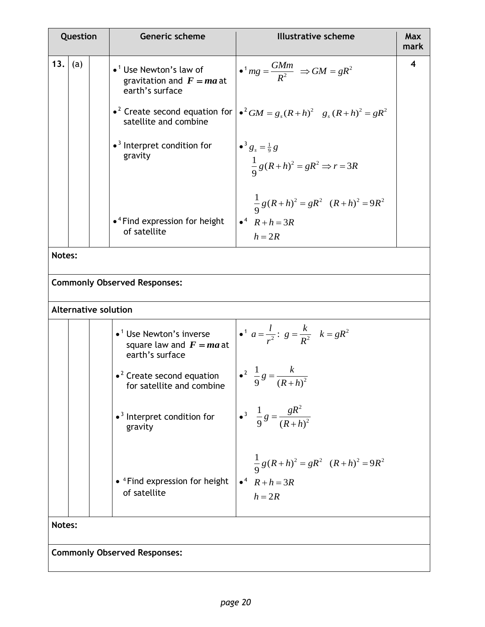|        | Question |  | Generic scheme                                                                               | <b>Illustrative scheme</b>                                                                     |   |
|--------|----------|--|----------------------------------------------------------------------------------------------|------------------------------------------------------------------------------------------------|---|
| 13.    | (a)      |  | $\bullet$ <sup>1</sup> Use Newton's law of<br>gravitation and $F = ma$ at<br>earth's surface | $\bullet$ <sup>1</sup> mg = $\frac{GMm}{R^2}$ $\Rightarrow$ GM = gR <sup>2</sup>               | 4 |
|        |          |  | satellite and combine                                                                        | • <sup>2</sup> Create second equation for $\int e^2 GM = g_s (R + h)^2$ $g_s (R + h)^2 = gR^2$ |   |
|        |          |  | $\bullet$ <sup>3</sup> Interpret condition for<br>gravity                                    | $\bullet^3 g_s = \frac{1}{9} g$<br>$\frac{1}{9}g(R+h)^2 = gR^2 \Rightarrow r = 3R$             |   |
|        |          |  |                                                                                              | $\frac{1}{9}g(R+h)^2 = gR^2 (R+h)^2 = 9R^2$                                                    |   |
|        |          |  | $\bullet$ <sup>4</sup> Find expression for height<br>of satellite                            | $\bullet^4$ $R + h = 3R$<br>$h = 2R$                                                           |   |
| Notes: |          |  |                                                                                              |                                                                                                |   |
|        |          |  | <b>Commonly Observed Responses:</b>                                                          |                                                                                                |   |
|        |          |  | <b>Alternative solution</b>                                                                  |                                                                                                |   |
|        |          |  | $\bullet$ <sup>1</sup> Use Newton's inverse<br>square law and $F = ma$ at<br>earth's surface | • <sup>1</sup> $a = \frac{l}{r^2}$ : $g = \frac{k}{R^2}$ $k = gR^2$                            |   |
|        |          |  | $\bullet$ <sup>2</sup> Create second equation<br>for satellite and combine                   | $\int_0^2 \frac{1}{9} g = \frac{k}{(R+h)^2}$                                                   |   |
|        |          |  | $\bullet$ <sup>3</sup> Interpret condition for<br>gravity                                    | • <sup>3</sup> $\frac{1}{9}g = \frac{gR^2}{(R+h)^2}$                                           |   |
|        |          |  | • <sup>4</sup> Find expression for height<br>of satellite                                    | $\frac{1}{9}g(R+h)^2 = gR^2 (R+h)^2 = 9R^2$<br>$\bullet^4$ $R + h = 3R$<br>$h = 2R$            |   |
| Notes: |          |  |                                                                                              |                                                                                                |   |

**Commonly Observed Responses:**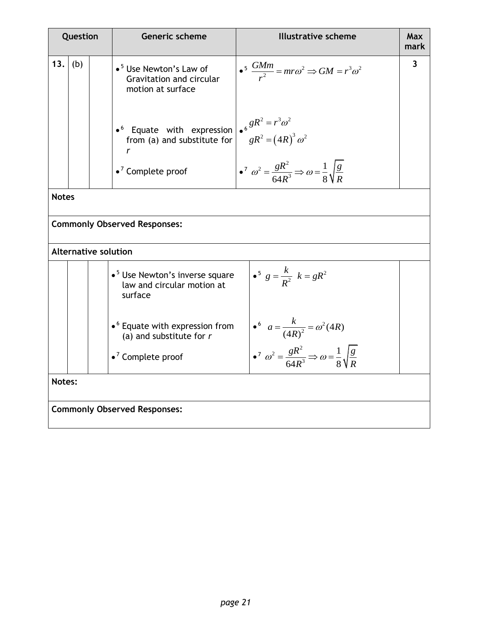|              | Question                            |                             | Generic scheme                                                                                                                                | <b>Illustrative scheme</b>                                                                      | <b>Max</b><br>mark |  |  |
|--------------|-------------------------------------|-----------------------------|-----------------------------------------------------------------------------------------------------------------------------------------------|-------------------------------------------------------------------------------------------------|--------------------|--|--|
| 13.          | (b)                                 |                             | $\bullet$ <sup>5</sup> Use Newton's Law of<br>Gravitation and circular<br>motion at surface                                                   | $\bullet^5 \frac{GMm}{r^2} = mr\omega^2 \Rightarrow GM = r^3 \omega^2$                          | $\overline{3}$     |  |  |
|              |                                     |                             | • Equate with expression $\begin{vmatrix} 6 & 8R^2 = r^3\omega^2 \\ r^6 & 8R^2 = (4R)^3\omega^2 \end{vmatrix}$<br>from (a) and substitute for |                                                                                                 |                    |  |  |
|              |                                     |                             | $\bullet$ <sup>7</sup> Complete proof                                                                                                         | $\int_0^7 \omega^2 = \frac{gR^2}{64R^3} \Rightarrow \omega = \frac{1}{8} \sqrt{\frac{g}{R}}$    |                    |  |  |
| <b>Notes</b> |                                     |                             |                                                                                                                                               |                                                                                                 |                    |  |  |
|              |                                     |                             | <b>Commonly Observed Responses:</b>                                                                                                           |                                                                                                 |                    |  |  |
|              |                                     | <b>Alternative solution</b> |                                                                                                                                               |                                                                                                 |                    |  |  |
|              |                                     |                             | • <sup>5</sup> Use Newton's inverse square<br>law and circular motion at<br>surface                                                           | • <sup>5</sup> $g = \frac{k}{R^2}$ $k = gR^2$                                                   |                    |  |  |
|              |                                     |                             | $\bullet$ <sup>6</sup> Equate with expression from<br>(a) and substitute for $r$                                                              | • $a = \frac{k}{(4R)^2} = \omega^2 (4R)$                                                        |                    |  |  |
|              |                                     |                             | $\bullet$ <sup>7</sup> Complete proof                                                                                                         | $\bullet^7 \ \omega^2 = \frac{gR^2}{64R^3} \Rightarrow \omega = \frac{1}{8} \sqrt{\frac{g}{R}}$ |                    |  |  |
| Notes:       |                                     |                             |                                                                                                                                               |                                                                                                 |                    |  |  |
|              | <b>Commonly Observed Responses:</b> |                             |                                                                                                                                               |                                                                                                 |                    |  |  |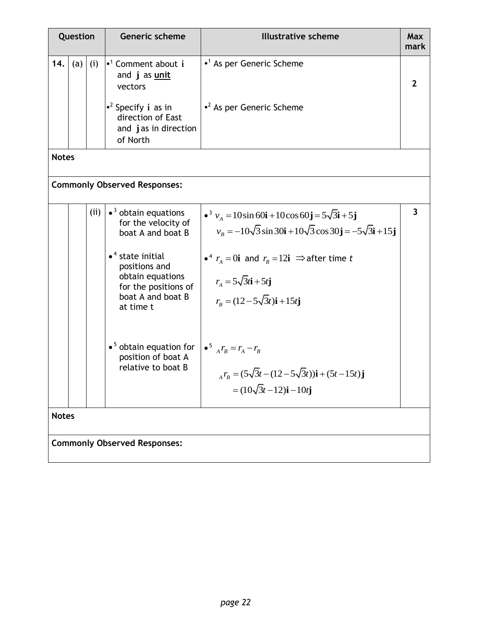|              | Question |      | <b>Generic scheme</b>                                                                                                                                                                                                      | <b>Illustrative scheme</b>                                                                                                                                                                                                                                                                                                                                                            | Max<br>mark    |
|--------------|----------|------|----------------------------------------------------------------------------------------------------------------------------------------------------------------------------------------------------------------------------|---------------------------------------------------------------------------------------------------------------------------------------------------------------------------------------------------------------------------------------------------------------------------------------------------------------------------------------------------------------------------------------|----------------|
| 14.          | (a)      | (i)  | $\cdot$ <sup>1</sup> Comment about i<br>and j as unit<br>vectors                                                                                                                                                           | $\cdot$ <sup>1</sup> As per Generic Scheme                                                                                                                                                                                                                                                                                                                                            | $\overline{2}$ |
|              |          |      | • <sup>2</sup> Specify i as in<br>direction of East<br>and jas in direction<br>of North                                                                                                                                    | $\cdot^2$ As per Generic Scheme                                                                                                                                                                                                                                                                                                                                                       |                |
| <b>Notes</b> |          |      |                                                                                                                                                                                                                            |                                                                                                                                                                                                                                                                                                                                                                                       |                |
|              |          |      | <b>Commonly Observed Responses:</b>                                                                                                                                                                                        |                                                                                                                                                                                                                                                                                                                                                                                       |                |
|              |          | (ii) | $\bullet$ <sup>3</sup> obtain equations<br>for the velocity of<br>boat A and boat B<br>$\bullet$ <sup>4</sup> state initial<br>positions and<br>obtain equations<br>for the positions of<br>boat A and boat B<br>at time t | $\bullet^3$ $v_A = 10 \sin 60$ <b>i</b> + 10cos 60 <b>j</b> = 5 $\sqrt{3}$ <b>i</b> + 5 <b>j</b><br>$v_R = -10\sqrt{3} \sin 30i + 10\sqrt{3} \cos 30j = -5\sqrt{3}i + 15j$<br>• <sup>4</sup> $r_A = 0$ <b>i</b> and $r_B = 12$ <b>i</b> $\Rightarrow$ after time <i>t</i><br>$r_A = 5\sqrt{3}t\mathbf{i} + 5t\mathbf{j}$<br>$r_{\rm B} = (12 - 5\sqrt{3}t)\mathbf{i} + 15t\mathbf{j}$ | 3              |
|              |          |      | $\bullet$ <sup>5</sup> obtain equation for<br>position of boat A<br>relative to boat B                                                                                                                                     | $\bullet^5$ $_{A} r_B = r_A - r_B$<br>$r_B = (5\sqrt{3}t - (12 - 5\sqrt{3}t))\mathbf{i} + (5t - 15t)\mathbf{j}$<br>$=(10\sqrt{3}t-12)\mathbf{i}-10t\mathbf{j}$                                                                                                                                                                                                                        |                |
| <b>Notes</b> |          |      |                                                                                                                                                                                                                            |                                                                                                                                                                                                                                                                                                                                                                                       |                |
|              |          |      | <b>Commonly Observed Responses:</b>                                                                                                                                                                                        |                                                                                                                                                                                                                                                                                                                                                                                       |                |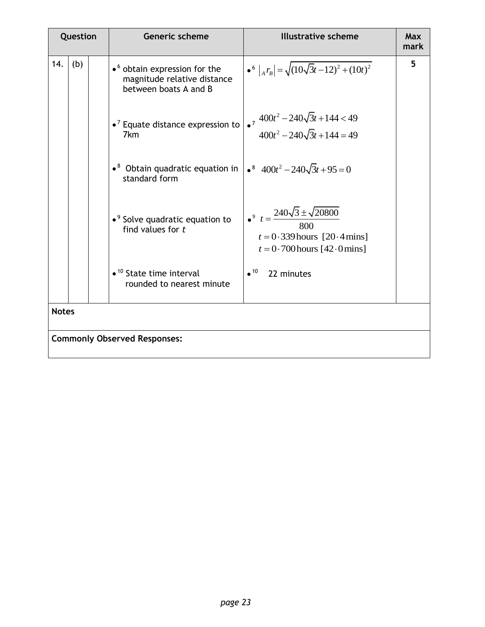|     | Question                            |  | <b>Generic scheme</b>                                                                                    | <b>Illustrative scheme</b>                                                                                                     | Max<br>mark |  |  |
|-----|-------------------------------------|--|----------------------------------------------------------------------------------------------------------|--------------------------------------------------------------------------------------------------------------------------------|-------------|--|--|
| 14. | (b)                                 |  | $\bullet$ <sup>6</sup> obtain expression for the<br>magnitude relative distance<br>between boats A and B | $\bullet^6 \left _{A} r_B \right  = \sqrt{(10\sqrt{3}t - 12)^2 + (10t)^2}$                                                     | 5           |  |  |
|     |                                     |  | $\bullet$ <sup>7</sup> Equate distance expression to<br>7 <sub>km</sub>                                  | • $7 \frac{400t^2 - 240\sqrt{3}t + 144 < 49}{400t^2 - 240\sqrt{3}t + 144 = 49}$                                                |             |  |  |
|     |                                     |  | $\bullet^8$ Obtain quadratic equation in<br>standard form                                                | $\bullet^8$ 400 $t^2$ - 240 $\sqrt{3}t$ + 95 = 0                                                                               |             |  |  |
|     |                                     |  | $\bullet$ <sup>9</sup> Solve quadratic equation to<br>find values for $t$                                | $\bullet^9 \ \ t = \frac{240\sqrt{3} \pm \sqrt{20800}}{800}$<br>$t = 0.339$ hours [20.4 mins]<br>$t = 0.700$ hours [42.0 mins] |             |  |  |
|     |                                     |  | $\bullet$ <sup>10</sup> State time interval<br>rounded to nearest minute                                 | $\bullet$ <sup>10</sup> 22 minutes                                                                                             |             |  |  |
|     | <b>Notes</b>                        |  |                                                                                                          |                                                                                                                                |             |  |  |
|     | <b>Commonly Observed Responses:</b> |  |                                                                                                          |                                                                                                                                |             |  |  |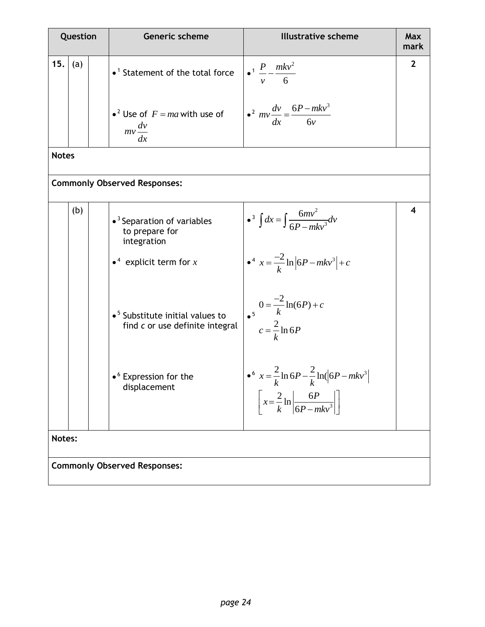|              | Question |  | Generic scheme                                                                                                  | <b>Illustrative scheme</b>                                                                                                                 | Max<br>mark  |  |  |
|--------------|----------|--|-----------------------------------------------------------------------------------------------------------------|--------------------------------------------------------------------------------------------------------------------------------------------|--------------|--|--|
| 15.          | (a)      |  | $\bullet$ <sup>1</sup> Statement of the total force                                                             | $\cdot \frac{P}{v} - \frac{mkv^2}{6}$                                                                                                      | $\mathbf{2}$ |  |  |
|              |          |  | • <sup>2</sup> Use of $F = ma$ with use of<br>$mv\frac{dv}{dt}$<br>dx                                           | $\frac{dv}{dx} = \frac{6P - mkv^3}{6v}$                                                                                                    |              |  |  |
| <b>Notes</b> |          |  |                                                                                                                 |                                                                                                                                            |              |  |  |
|              |          |  | <b>Commonly Observed Responses:</b>                                                                             |                                                                                                                                            |              |  |  |
|              | (b)      |  | • <sup>3</sup> Separation of variables<br>to prepare for<br>integration<br>• <sup>4</sup> explicit term for $x$ | • $\int dx = \int \frac{6mv^2}{6P - mLv^3}dv$<br>$\int_0^4 x = \frac{-2}{k} \ln  6P - mkv^3  + c$                                          | 4            |  |  |
|              |          |  | $\bullet$ <sup>5</sup> Substitute initial values to<br>find c or use definite integral                          | $0 = \frac{-2}{k} \ln(6P) + c$<br>$c = \frac{2}{k} \ln 6P$                                                                                 |              |  |  |
|              |          |  | $\bullet$ <sup>6</sup> Expression for the<br>displacement                                                       | • $x = \frac{2}{2} \ln 6P - \frac{2}{3} \ln (6P - mkv^3)$<br>K<br>$\left[x = \frac{2}{k} \ln \left  \frac{6P}{6P - mkv^3} \right  \right]$ |              |  |  |
|              | Notes:   |  |                                                                                                                 |                                                                                                                                            |              |  |  |
|              |          |  | <b>Commonly Observed Responses:</b>                                                                             |                                                                                                                                            |              |  |  |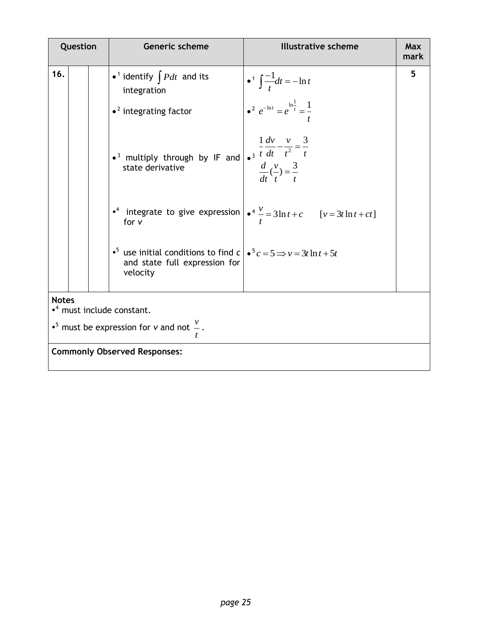|                                                                                                          | Question |  | Generic scheme                                                                                                                                        | <b>Illustrative scheme</b>                                                                             | Max<br>mark |
|----------------------------------------------------------------------------------------------------------|----------|--|-------------------------------------------------------------------------------------------------------------------------------------------------------|--------------------------------------------------------------------------------------------------------|-------------|
| 16.                                                                                                      |          |  | • <sup>1</sup> identify $\int P dt$ and its<br>integration                                                                                            | • <sup>1</sup> $\int \frac{-1}{t} dt = -\ln t$                                                         | 5           |
|                                                                                                          |          |  | $\bullet$ <sup>2</sup> integrating factor                                                                                                             | • $e^{-\ln t} = e^{\ln \frac{1}{t}} = \frac{1}{t}$                                                     |             |
|                                                                                                          |          |  | • <sup>3</sup> multiply through by IF and $\int_0^1 \frac{dv}{t} dt - \frac{v}{t^2} = \frac{3}{t}$<br>state derivative                                | $\frac{d}{dt}(\frac{v}{t}) = \frac{3}{t}$                                                              |             |
|                                                                                                          |          |  | for $v$                                                                                                                                               | • <sup>4</sup> integrate to give expression $\int e^4 \frac{v}{r} = 3 \ln t + c$ $[v = 3t \ln t + ct]$ |             |
|                                                                                                          |          |  | • <sup>5</sup> use initial conditions to find $c \mid \bullet^5 c = 5 \Longrightarrow v = 3t \ln t + 5t$<br>and state full expression for<br>velocity |                                                                                                        |             |
| <b>Notes</b>                                                                                             |          |  |                                                                                                                                                       |                                                                                                        |             |
| • <sup>4</sup> must include constant.<br>• <sup>5</sup> must be expression for v and not $\frac{v}{x}$ . |          |  |                                                                                                                                                       |                                                                                                        |             |
|                                                                                                          |          |  | <b>Commonly Observed Responses:</b>                                                                                                                   |                                                                                                        |             |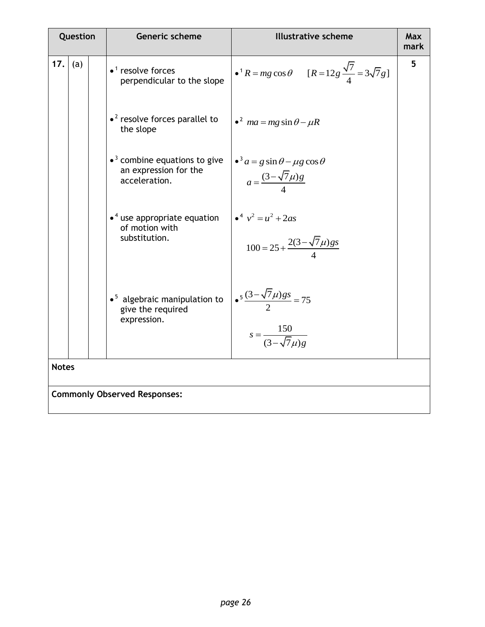| Question     | Generic scheme                                                                             | <b>Illustrative scheme</b>                                                            | <b>Max</b><br>mark |
|--------------|--------------------------------------------------------------------------------------------|---------------------------------------------------------------------------------------|--------------------|
| 17.<br>(a)   | $\bullet$ <sup>1</sup> resolve forces<br>perpendicular to the slope                        | • $^1R = mg \cos \theta$ [R = 12g $\frac{\sqrt{7}}{4} = 3\sqrt{7}g$ ]                 | 5                  |
|              | $\cdot^2$ resolve forces parallel to<br>the slope                                          | $\epsilon^2$ ma = mg sin $\theta - \mu R$                                             |                    |
|              | $\bullet$ <sup>3</sup> combine equations to give<br>an expression for the<br>acceleration. | $\cdot^3 a = g \sin \theta - \mu g \cos \theta$<br>$a = \frac{(3 - \sqrt{7\mu})g}{4}$ |                    |
|              | $\bullet$ <sup>4</sup> use appropriate equation<br>of motion with<br>substitution.         | $v^4$ $v^2 = u^2 + 2as$<br>$100 = 25 + \frac{2(3-\sqrt{7}\mu)gs}{4}$                  |                    |
|              | $\bullet$ <sup>5</sup> algebraic manipulation to<br>give the required<br>expression.       | $\frac{5(3-\sqrt{7}\mu)gs}{2} = 75$<br>$s = \frac{150}{(3-\sqrt{7}u)e}$               |                    |
| <b>Notes</b> |                                                                                            |                                                                                       |                    |
|              | <b>Commonly Observed Responses:</b>                                                        |                                                                                       |                    |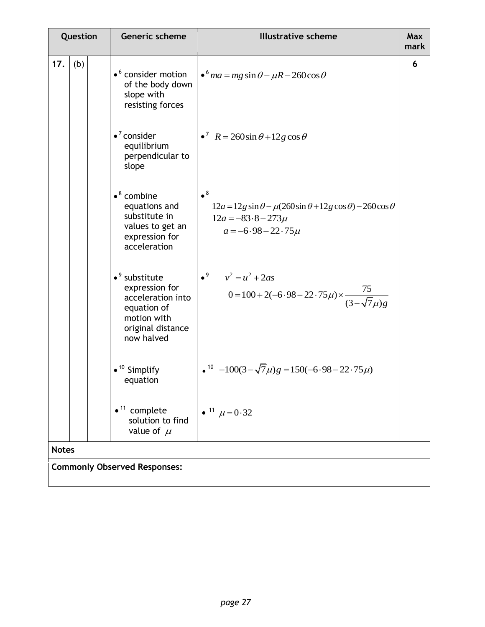|              | Question |  | Generic scheme                                                                                                                            | <b>Illustrative scheme</b>                                                                                                                             | Max<br>mark |
|--------------|----------|--|-------------------------------------------------------------------------------------------------------------------------------------------|--------------------------------------------------------------------------------------------------------------------------------------------------------|-------------|
| 17.          | (b)      |  | • <sup>6</sup> consider motion<br>of the body down<br>slope with<br>resisting forces                                                      | $\cdot$ $^6$ ma = mg sin $\theta$ - $\mu$ R - 260cos $\theta$                                                                                          | 6           |
|              |          |  | $\bullet^7$ consider<br>equilibrium<br>perpendicular to<br>slope                                                                          | $R = 260 \sin \theta + 12 g \cos \theta$                                                                                                               |             |
|              |          |  | $\bullet^8$ combine<br>equations and<br>substitute in<br>values to get an<br>expression for<br>acceleration                               | $\bullet^8$<br>$12a = 12g \sin \theta - \mu(260 \sin \theta + 12g \cos \theta) - 260 \cos \theta$<br>$12a = -83.8 - 273\mu$<br>$a = -6.98 - 22.75 \mu$ |             |
|              |          |  | $\bullet$ <sup>9</sup> substitute<br>expression for<br>acceleration into<br>equation of<br>motion with<br>original distance<br>now halved | • <sup>9</sup> $v^2 = u^2 + 2as$<br>$0 = 100 + 2(-6.98 - 22.75\mu) \times \frac{75}{(3-\sqrt{7}\mu)g}$                                                 |             |
|              |          |  | $\bullet$ <sup>10</sup> Simplify<br>equation                                                                                              | $\sqrt{10}$ -100(3- $\sqrt{7}\mu$ )g = 150(-6.98-22.75 $\mu$ )                                                                                         |             |
|              |          |  | $\bullet$ <sup>11</sup> complete<br>solution to find<br>value of $\mu$                                                                    | • <sup>11</sup> $\mu = 0.32$                                                                                                                           |             |
| <b>Notes</b> |          |  |                                                                                                                                           |                                                                                                                                                        |             |
|              |          |  | <b>Commonly Observed Responses:</b>                                                                                                       |                                                                                                                                                        |             |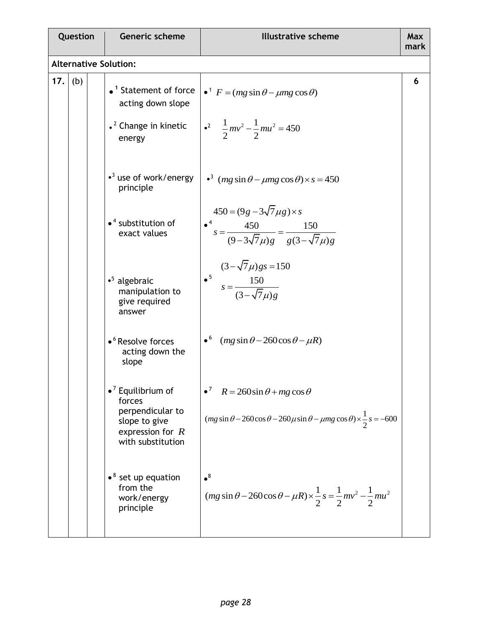| Question                     |     |  | Generic scheme                                                                              | <b>Illustrative scheme</b>                                                                                                    | Max<br>mark |
|------------------------------|-----|--|---------------------------------------------------------------------------------------------|-------------------------------------------------------------------------------------------------------------------------------|-------------|
| <b>Alternative Solution:</b> |     |  |                                                                                             |                                                                                                                               |             |
| 17.                          | (b) |  | $\bullet$ <sup>1</sup> Statement of force<br>acting down slope                              | $\bullet^1$ F = (mg sin $\theta$ – $\mu$ mg cos $\theta$ )                                                                    | 6           |
|                              |     |  | $\cdot$ <sup>2</sup> Change in kinetic<br>energy<br>$\cdot$ <sup>3</sup> use of work/energy | $\int$ $\frac{1}{2}mv^2 - \frac{1}{2}mu^2 = 450$<br>$\cdot$ <sup>3</sup> (mg sin $\theta$ – $\mu$ mg cos $\theta$ ) × s = 450 |             |
|                              |     |  | principle<br>$\bullet$ <sup>4</sup> substitution of                                         | $450 = (9g - 3\sqrt{7} \mu g) \times s$                                                                                       |             |
|                              |     |  | exact values                                                                                | $\frac{•^4}{s} = \frac{450}{(9 - 3\sqrt{7}\mu)g} = \frac{150}{g(3 - \sqrt{7}\mu)g}$                                           |             |
|                              |     |  | $\cdot$ <sup>5</sup> algebraic<br>manipulation to<br>give required<br>answer                | $(3 - \sqrt{7}\mu)gs = 150$<br>• <sup>5</sup> $s = \frac{150}{(3 - \sqrt{7}\mu)g}$                                            |             |
|                              |     |  | • <sup>6</sup> Resolve forces<br>acting down the<br>slope                                   | $\bullet^6$ (mg sin $\theta$ – 260cos $\theta$ – $\mu$ R)                                                                     |             |
|                              |     |  | $\bullet$ <sup>7</sup> Equilibrium of<br>forces<br>perpendicular to                         | $R = 260 \sin \theta + mg \cos \theta$<br>$\bullet$ <sup>'</sup>                                                              |             |
|                              |     |  | slope to give<br>expression for $R$<br>with substitution                                    | $(mg \sin \theta - 260 \cos \theta - 260 \mu \sin \theta - \mu mg \cos \theta) \times \frac{1}{2} s = -600$                   |             |
|                              |     |  | $\bullet^8$ set up equation<br>from the<br>work/energy<br>principle                         | $\bullet^8$<br>$(mg \sin \theta - 260 \cos \theta - \mu R) \times \frac{1}{2} s = \frac{1}{2} m v^2 - \frac{1}{2} m u^2$      |             |